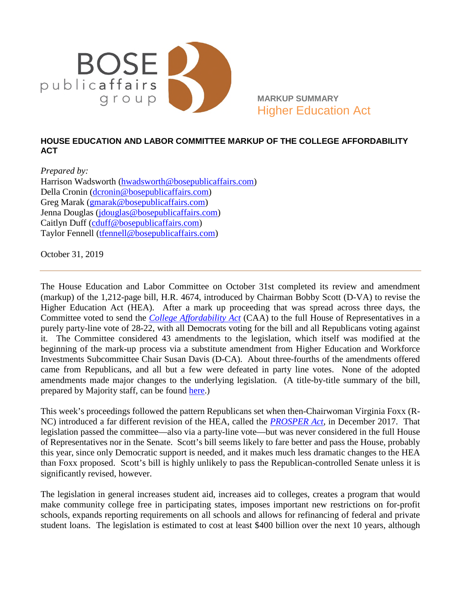

 **MARKUP SUMMARY**  Higher Education Act

## **HOUSE EDUCATION AND LABOR COMMITTEE MARKUP OF THE COLLEGE AFFORDABILITY ACT**

*Prepared by:*  Harrison Wadsworth [\(hwadsworth@bosepublicaffairs.com\)](mailto:hwadsworth@bosepublicaffairs.com) Della Cronin [\(dcronin@bosepublicaffairs.com\)](mailto:dcronin@bosepublicaffairs.com) Greg Marak [\(gmarak@bosepublicaffairs.com\)](mailto:gmarak@bosepublicaffairs.com) Jenna Douglas (*jdouglas@bosepublicaffairs.com*) Caitlyn Duff [\(cduff@bosepublicaffairs.com\)](mailto:cduff@bosepublicaffairs.com) Taylor Fennell [\(tfennell@bosepublicaffairs.com\)](mailto:tfennell@bosepublicaffairs.com)

October 31, 2019

The House Education and Labor Committee on October 31st completed its review and amendment (markup) of the 1,212-page bill, H.R. 4674, introduced by Chairman Bobby Scott (D-VA) to revise the Higher Education Act (HEA). After a mark up proceeding that was spread across three days, the Committee voted to send the *[College Affordability Act](https://edlabor.house.gov/the-college-affordability-act-facts)* (CAA) to the full House of Representatives in a purely party-line vote of 28-22, with all Democrats voting for the bill and all Republicans voting against it. The Committee considered 43 amendments to the legislation, which itself was modified at the beginning of the mark-up process via a substitute amendment from Higher Education and Workforce Investments Subcommittee Chair Susan Davis (D-CA). About three-fourths of the amendments offered came from Republicans, and all but a few were defeated in party line votes. None of the adopted amendments made major changes to the underlying legislation. (A title-by-title summary of the bill, prepared by Majority staff, can be found [here.](https://edlabor.house.gov/imo/media/doc/The%20College%20Affordability%20Act%20-%20Title%20by%20Title.pdf))

This week's proceedings followed the pattern Republicans set when then-Chairwoman Virginia Foxx (R-NC) introduced a far different revision of the HEA, called the *[PROSPER Act,](https://www.congress.gov/115/bills/hr4508/BILLS-115hr4508rh.pdf)* in December 2017. That legislation passed the committee—also via a party-line vote—but was never considered in the full House of Representatives nor in the Senate. Scott's bill seems likely to fare better and pass the House, probably this year, since only Democratic support is needed, and it makes much less dramatic changes to the HEA than Foxx proposed. Scott's bill is highly unlikely to pass the Republican-controlled Senate unless it is significantly revised, however.

The legislation in general increases student aid, increases aid to colleges, creates a program that would make community college free in participating states, imposes important new restrictions on for-profit schools, expands reporting requirements on all schools and allows for refinancing of federal and private student loans. The legislation is estimated to cost at least \$400 billion over the next 10 years, although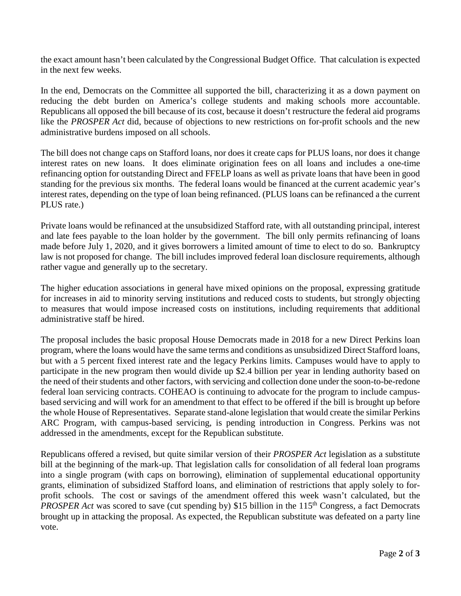the exact amount hasn't been calculated by the Congressional Budget Office. That calculation is expected in the next few weeks.

In the end, Democrats on the Committee all supported the bill, characterizing it as a down payment on reducing the debt burden on America's college students and making schools more accountable. Republicans all opposed the bill because of its cost, because it doesn't restructure the federal aid programs like the *PROSPER Act* did, because of objections to new restrictions on for-profit schools and the new administrative burdens imposed on all schools.

The bill does not change caps on Stafford loans, nor does it create caps for PLUS loans, nor does it change interest rates on new loans. It does eliminate origination fees on all loans and includes a one-time refinancing option for outstanding Direct and FFELP loans as well as private loans that have been in good standing for the previous six months. The federal loans would be financed at the current academic year's interest rates, depending on the type of loan being refinanced. (PLUS loans can be refinanced a the current PLUS rate.)

Private loans would be refinanced at the unsubsidized Stafford rate, with all outstanding principal, interest and late fees payable to the loan holder by the government. The bill only permits refinancing of loans made before July 1, 2020, and it gives borrowers a limited amount of time to elect to do so. Bankruptcy law is not proposed for change. The bill includes improved federal loan disclosure requirements, although rather vague and generally up to the secretary.

The higher education associations in general have mixed opinions on the proposal, expressing gratitude for increases in aid to minority serving institutions and reduced costs to students, but strongly objecting to measures that would impose increased costs on institutions, including requirements that additional administrative staff be hired.

The proposal includes the basic proposal House Democrats made in 2018 for a new Direct Perkins loan program, where the loans would have the same terms and conditions as unsubsidized Direct Stafford loans, but with a 5 percent fixed interest rate and the legacy Perkins limits. Campuses would have to apply to participate in the new program then would divide up \$2.4 billion per year in lending authority based on the need of their students and other factors, with servicing and collection done under the soon-to-be-redone federal loan servicing contracts. COHEAO is continuing to advocate for the program to include campusbased servicing and will work for an amendment to that effect to be offered if the bill is brought up before the whole House of Representatives. Separate stand-alone legislation that would create the similar Perkins ARC Program, with campus-based servicing, is pending introduction in Congress. Perkins was not addressed in the amendments, except for the Republican substitute.

Republicans offered a revised, but quite similar version of their *PROSPER Act* legislation as a substitute bill at the beginning of the mark-up. That legislation calls for consolidation of all federal loan programs into a single program (with caps on borrowing), elimination of supplemental educational opportunity grants, elimination of subsidized Stafford loans, and elimination of restrictions that apply solely to forprofit schools. The cost or savings of the amendment offered this week wasn't calculated, but the *PROSPER Act* was scored to save (cut spending by) \$15 billion in the 115<sup>th</sup> Congress, a fact Democrats brought up in attacking the proposal. As expected, the Republican substitute was defeated on a party line vote.